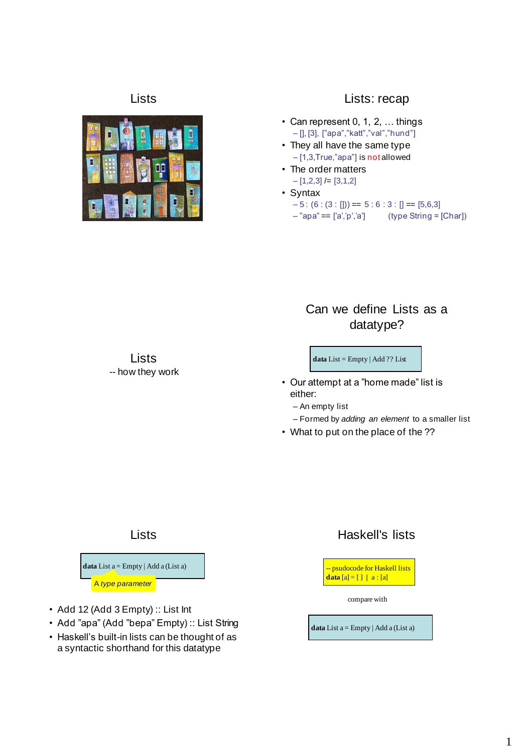

### Lists Lists: recap

- Can represent 0, 1, 2, … things – [], [3], ["apa","katt","val","hund"]
- They all have the same type – [1,3,True,"apa"] is not allowed
- The order matters  $-[1,2,3]$  /=  $[3,1,2]$
- Syntax  $-5: (6: (3:$  [])) =  $5:6:3:$  [] =  $[5,6,3]$  $-$ "apa" == ['a','p','a'] (type String = [Char])

## Can we define Lists as a datatype?

**data** List = Empty | Add ?? List

- Our attempt at a "home made" list is either:
	- An empty list
	- Formed by *adding an element* to a smaller list
- What to put on the place of the ??

#### Lists

Lists -- how they work



- Add 12 (Add 3 Empty) :: List Int
- Add "apa" (Add "bepa" Empty) :: List String
- Haskell's built-in lists can be thought of as a syntactic shorthand for this datatype

### Haskell's lists



compare with

**data** List  $a = \text{Empty} | Add a (List a)$